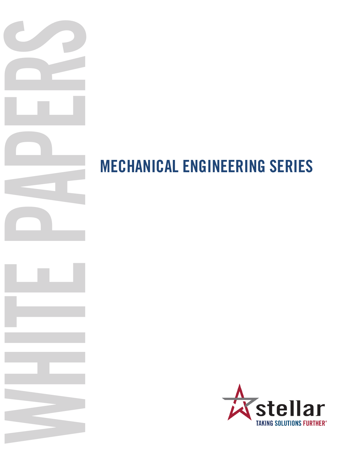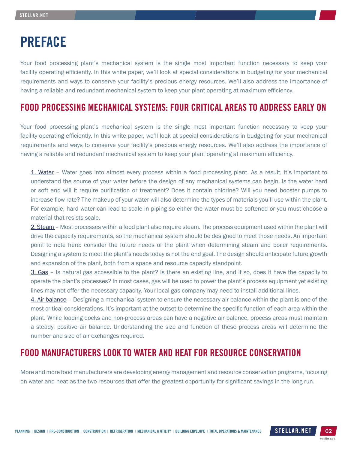# PREFACE

Your food processing plant's mechanical system is the single most important function necessary to keep your facility operating efficiently. In this white paper, we'll look at special considerations in budgeting for your mechanical requirements and ways to conserve your facility's precious energy resources. We'll also address the importance of having a reliable and redundant mechanical system to keep your plant operating at maximum efficiency.

## FOOD PROCESSING MECHANICAL SYSTEMS: FOUR CRITICAL AREAS TO ADDRESS EARLY ON

Your food processing plant's mechanical system is the single most important function necessary to keep your facility operating efficiently. In this white paper, we'll look at special considerations in budgeting for your mechanical requirements and ways to conserve your facility's precious energy resources. We'll also address the importance of having a reliable and redundant mechanical system to keep your plant operating at maximum efficiency.

1. Water – Water goes into almost every process within a food processing plant. As a result, it's important to understand the source of your water before the design of any mechanical systems can begin. Is the water hard or soft and will it require purification or treatment? Does it contain chlorine? Will you need booster pumps to increase flow rate? The makeup of your water will also determine the types of materials you'll use within the plant. For example, hard water can lead to scale in piping so either the water must be softened or you must choose a material that resists scale.

2. Steam – Most processes within a food plant also require steam. The process equipment used within the plant will drive the capacity requirements, so the mechanical system should be designed to meet those needs. An important point to note here: consider the future needs of the plant when determining steam and boiler requirements. Designing a system to meet the plant's needs today is not the end goal. The design should anticipate future growth and expansion of the plant, both from a space and resource capacity standpoint.

3. Gas – Is natural gas accessible to the plant? Is there an existing line, and if so, does it have the capacity to operate the plant's processes? In most cases, gas will be used to power the plant's process equipment yet existing lines may not offer the necessary capacity. Your local gas company may need to install additional lines.

4. Air balance – Designing a mechanical system to ensure the necessary air balance within the plant is one of the most critical considerations. It's important at the outset to determine the specific function of each area within the plant. While loading docks and non-process areas can have a negative air balance, process areas must maintain a steady, positive air balance. Understanding the size and function of these process areas will determine the number and size of air exchanges required.

## FOOD MANUFACTURERS LOOK TO WATER AND HEAT FOR RESOURCE CONSERVATION

More and more food manufacturers are developing energy management and resource conservation programs, focusing on water and heat as the two resources that offer the greatest opportunity for significant savings in the long run.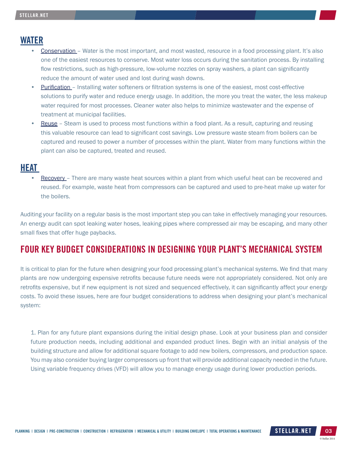### WATER

- Conservation Water is the most important, and most wasted, resource in a food processing plant. It's also one of the easiest resources to conserve. Most water loss occurs during the sanitation process. By installing flow restrictions, such as high-pressure, low-volume nozzles on spray washers, a plant can significantly reduce the amount of water used and lost during wash downs.
- Purification Installing water softeners or filtration systems is one of the easiest, most cost-effective solutions to purify water and reduce energy usage. In addition, the more you treat the water, the less makeup water required for most processes. Cleaner water also helps to minimize wastewater and the expense of treatment at municipal facilities.
- Reuse Steam is used to process most functions within a food plant. As a result, capturing and reusing this valuable resource can lead to significant cost savings. Low pressure waste steam from boilers can be captured and reused to power a number of processes within the plant. Water from many functions within the plant can also be captured, treated and reused.

#### HEAT

Recovery – There are many waste heat sources within a plant from which useful heat can be recovered and reused. For example, waste heat from compressors can be captured and used to pre-heat make up water for the boilers.

Auditing your facility on a regular basis is the most important step you can take in effectively managing your resources. An energy audit can spot leaking water hoses, leaking pipes where compressed air may be escaping, and many other small fixes that offer huge paybacks.

## FOUR KEY BUDGET CONSIDERATIONS IN DESIGNING YOUR PLANT'S MECHANICAL SYSTEM

It is critical to plan for the future when designing your food processing plant's mechanical systems. We find that many plants are now undergoing expensive retrofits because future needs were not appropriately considered. Not only are retrofits expensive, but if new equipment is not sized and sequenced effectively, it can significantly affect your energy costs. To avoid these issues, here are four budget considerations to address when designing your plant's mechanical system:

1. Plan for any future plant expansions during the initial design phase. Look at your business plan and consider future production needs, including additional and expanded product lines. Begin with an initial analysis of the building structure and allow for additional square footage to add new boilers, compressors, and production space. You may also consider buying larger compressors up front that will provide additional capacity needed in the future. Using variable frequency drives (VFD) will allow you to manage energy usage during lower production periods.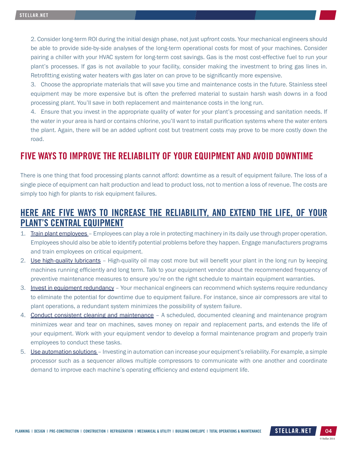2. Consider long-term ROI during the initial design phase, not just upfront costs. Your mechanical engineers should be able to provide side-by-side analyses of the long-term operational costs for most of your machines. Consider pairing a chiller with your HVAC system for long-term cost savings. Gas is the most cost-effective fuel to run your plant's processes. If gas is not available to your facility, consider making the investment to bring gas lines in. Retrofitting existing water heaters with gas later on can prove to be significantly more expensive.

3. Choose the appropriate materials that will save you time and maintenance costs in the future. Stainless steel equipment may be more expensive but is often the preferred material to sustain harsh wash downs in a food processing plant. You'll save in both replacement and maintenance costs in the long run.

4. Ensure that you invest in the appropriate quality of water for your plant's processing and sanitation needs. If the water in your area is hard or contains chlorine, you'll want to install purification systems where the water enters the plant. Again, there will be an added upfront cost but treatment costs may prove to be more costly down the road.

## FIVE WAYS TO IMPROVE THE RELIABILITY OF YOUR EQUIPMENT AND AVOID DOWNTIME

There is one thing that food processing plants cannot afford: downtime as a result of equipment failure. The loss of a single piece of equipment can halt production and lead to product loss, not to mention a loss of revenue. The costs are simply too high for plants to risk equipment failures.

## HERE ARE FIVE WAYS TO INCREASE THE RELIABILITY, AND EXTEND THE LIFE, OF YOUR PLANT'S CENTRAL EQUIPMENT

- 1. Train plant employees Employees can play a role in protecting machinery in its daily use through proper operation. Employees should also be able to identify potential problems before they happen. Engage manufacturers programs and train employees on critical equipment.
- 2. Use high-quality lubricants High-quality oil may cost more but will benefit your plant in the long run by keeping machines running efficiently and long term. Talk to your equipment vendor about the recommended frequency of preventive maintenance measures to ensure you're on the right schedule to maintain equipment warranties.
- 3. Invest in equipment redundancy Your mechanical engineers can recommend which systems require redundancy to eliminate the potential for downtime due to equipment failure. For instance, since air compressors are vital to plant operations, a redundant system minimizes the possibility of system failure.
- 4. Conduct consistent cleaning and maintenance A scheduled, documented cleaning and maintenance program minimizes wear and tear on machines, saves money on repair and replacement parts, and extends the life of your equipment. Work with your equipment vendor to develop a formal maintenance program and properly train employees to conduct these tasks.
- 5. Use automation solutions Investing in automation can increase your equipment's reliability. For example, a simple processor such as a sequencer allows multiple compressors to communicate with one another and coordinate demand to improve each machine's operating efficiency and extend equipment life.